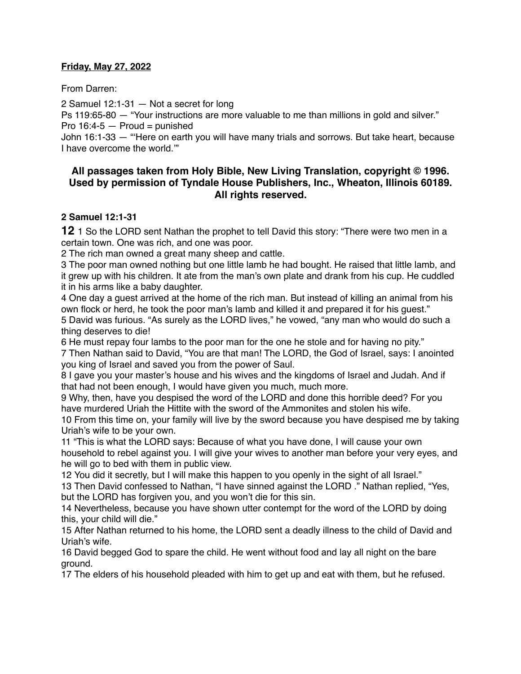#### **Friday, May 27, 2022**

From Darren:

2 Samuel 12:1-31 — Not a secret for long

Ps 119:65-80 — "Your instructions are more valuable to me than millions in gold and silver." Pro  $16:4-5$  – Proud = punished

John 16:1-33 — "'Here on earth you will have many trials and sorrows. But take heart, because I have overcome the world.'"

#### **All passages taken from Holy Bible, [New Living Translation](http://www.newlivingtranslation.com/), copyright © 1996. Used by permission of [Tyndale House Publishers](http://tyndale.com/), Inc., Wheaton, Illinois 60189. All rights reserved.**

#### **2 Samuel 12:1-31**

**12** 1 So the LORD sent Nathan the prophet to tell David this story: "There were two men in a certain town. One was rich, and one was poor.

2 The rich man owned a great many sheep and cattle.

3 The poor man owned nothing but one little lamb he had bought. He raised that little lamb, and it grew up with his children. It ate from the man's own plate and drank from his cup. He cuddled it in his arms like a baby daughter.

4 One day a guest arrived at the home of the rich man. But instead of killing an animal from his own flock or herd, he took the poor man's lamb and killed it and prepared it for his guest."

5 David was furious. "As surely as the LORD lives," he vowed, "any man who would do such a thing deserves to die!

6 He must repay four lambs to the poor man for the one he stole and for having no pity."

7 Then Nathan said to David, "You are that man! The LORD, the God of Israel, says: I anointed you king of Israel and saved you from the power of Saul.

8 I gave you your master's house and his wives and the kingdoms of Israel and Judah. And if that had not been enough, I would have given you much, much more.

9 Why, then, have you despised the word of the LORD and done this horrible deed? For you have murdered Uriah the Hittite with the sword of the Ammonites and stolen his wife.

10 From this time on, your family will live by the sword because you have despised me by taking Uriah's wife to be your own.

11 "This is what the LORD says: Because of what you have done, I will cause your own household to rebel against you. I will give your wives to another man before your very eyes, and he will go to bed with them in public view.

12 You did it secretly, but I will make this happen to you openly in the sight of all Israel."

13 Then David confessed to Nathan, "I have sinned against the LORD ." Nathan replied, "Yes, but the LORD has forgiven you, and you won't die for this sin.

14 Nevertheless, because you have shown utter contempt for the word of the LORD by doing this, your child will die."

15 After Nathan returned to his home, the LORD sent a deadly illness to the child of David and Uriah's wife.

16 David begged God to spare the child. He went without food and lay all night on the bare ground.

17 The elders of his household pleaded with him to get up and eat with them, but he refused.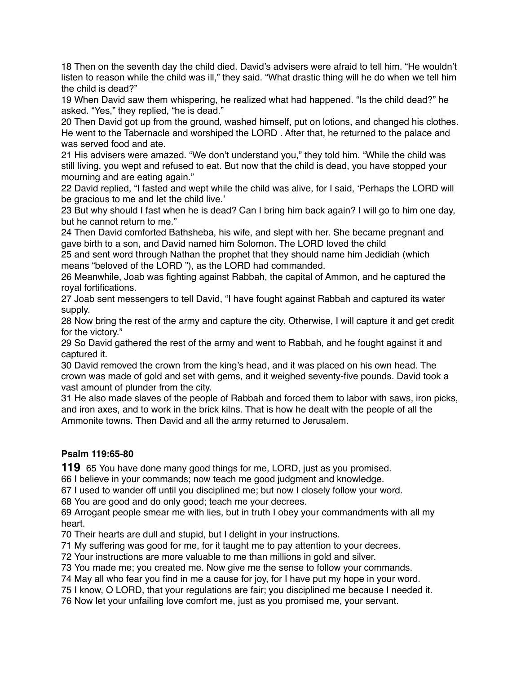18 Then on the seventh day the child died. David's advisers were afraid to tell him. "He wouldn't listen to reason while the child was ill," they said. "What drastic thing will he do when we tell him the child is dead?"

19 When David saw them whispering, he realized what had happened. "Is the child dead?" he asked. "Yes," they replied, "he is dead."

20 Then David got up from the ground, washed himself, put on lotions, and changed his clothes. He went to the Tabernacle and worshiped the LORD . After that, he returned to the palace and was served food and ate.

21 His advisers were amazed. "We don't understand you," they told him. "While the child was still living, you wept and refused to eat. But now that the child is dead, you have stopped your mourning and are eating again."

22 David replied, "I fasted and wept while the child was alive, for I said, 'Perhaps the LORD will be gracious to me and let the child live.'

23 But why should I fast when he is dead? Can I bring him back again? I will go to him one day, but he cannot return to me."

24 Then David comforted Bathsheba, his wife, and slept with her. She became pregnant and gave birth to a son, and David named him Solomon. The LORD loved the child

25 and sent word through Nathan the prophet that they should name him Jedidiah (which means "beloved of the LORD "), as the LORD had commanded.

26 Meanwhile, Joab was fighting against Rabbah, the capital of Ammon, and he captured the royal fortifications.

27 Joab sent messengers to tell David, "I have fought against Rabbah and captured its water supply.

28 Now bring the rest of the army and capture the city. Otherwise, I will capture it and get credit for the victory."

29 So David gathered the rest of the army and went to Rabbah, and he fought against it and captured it.

30 David removed the crown from the king's head, and it was placed on his own head. The crown was made of gold and set with gems, and it weighed seventy-five pounds. David took a vast amount of plunder from the city.

31 He also made slaves of the people of Rabbah and forced them to labor with saws, iron picks, and iron axes, and to work in the brick kilns. That is how he dealt with the people of all the Ammonite towns. Then David and all the army returned to Jerusalem.

# **Psalm 119:65-80**

**119** 65 You have done many good things for me, LORD, just as you promised.

66 I believe in your commands; now teach me good judgment and knowledge.

67 I used to wander off until you disciplined me; but now I closely follow your word.

68 You are good and do only good; teach me your decrees.

69 Arrogant people smear me with lies, but in truth I obey your commandments with all my heart.

70 Their hearts are dull and stupid, but I delight in your instructions.

71 My suffering was good for me, for it taught me to pay attention to your decrees.

72 Your instructions are more valuable to me than millions in gold and silver.

73 You made me; you created me. Now give me the sense to follow your commands.

74 May all who fear you find in me a cause for joy, for I have put my hope in your word.

75 I know, O LORD, that your regulations are fair; you disciplined me because I needed it.

76 Now let your unfailing love comfort me, just as you promised me, your servant.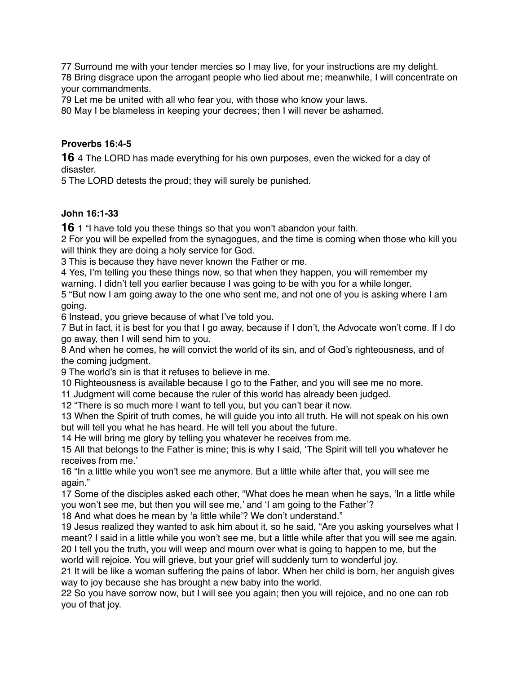Surround me with your tender mercies so I may live, for your instructions are my delight. Bring disgrace upon the arrogant people who lied about me; meanwhile, I will concentrate on your commandments.

Let me be united with all who fear you, with those who know your laws.

May I be blameless in keeping your decrees; then I will never be ashamed.

# **Proverbs 16:4-5**

4 The LORD has made everything for his own purposes, even the wicked for a day of disaster.

The LORD detests the proud; they will surely be punished.

# **John 16:1-33**

1 "I have told you these things so that you won't abandon your faith.

 For you will be expelled from the synagogues, and the time is coming when those who kill you will think they are doing a holy service for God.

This is because they have never known the Father or me.

 Yes, I'm telling you these things now, so that when they happen, you will remember my warning. I didn't tell you earlier because I was going to be with you for a while longer.

 "But now I am going away to the one who sent me, and not one of you is asking where I am going.

Instead, you grieve because of what I've told you.

 But in fact, it is best for you that I go away, because if I don't, the Advocate won't come. If I do go away, then I will send him to you.

 And when he comes, he will convict the world of its sin, and of God's righteousness, and of the coming judgment.

The world's sin is that it refuses to believe in me.

Righteousness is available because I go to the Father, and you will see me no more.

Judgment will come because the ruler of this world has already been judged.

"There is so much more I want to tell you, but you can't bear it now.

 When the Spirit of truth comes, he will guide you into all truth. He will not speak on his own but will tell you what he has heard. He will tell you about the future.

He will bring me glory by telling you whatever he receives from me.

 All that belongs to the Father is mine; this is why I said, 'The Spirit will tell you whatever he receives from me.'

 "In a little while you won't see me anymore. But a little while after that, you will see me again."

 Some of the disciples asked each other, "What does he mean when he says, 'In a little while you won't see me, but then you will see me,' and 'I am going to the Father'?

And what does he mean by 'a little while'? We don't understand."

 Jesus realized they wanted to ask him about it, so he said, "Are you asking yourselves what I meant? I said in a little while you won't see me, but a little while after that you will see me again. I tell you the truth, you will weep and mourn over what is going to happen to me, but the

world will rejoice. You will grieve, but your grief will suddenly turn to wonderful joy.

 It will be like a woman suffering the pains of labor. When her child is born, her anguish gives way to joy because she has brought a new baby into the world.

 So you have sorrow now, but I will see you again; then you will rejoice, and no one can rob you of that joy.